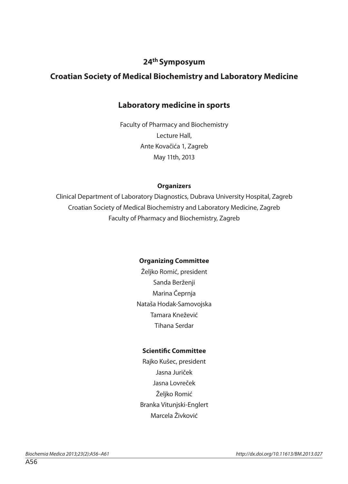#### **24th Symposyum**

### **Croatian Society of Medical Biochemistry and Laboratory Medicine**

### **Laboratory medicine in sports**

Faculty of Pharmacy and Biochemistry Lecture Hall, Ante Kovačića 1, Zagreb May 11th, 2013

#### **Organizers**

Clinical Department of Laboratory Diagnostics, Dubrava University Hospital, Zagreb Croatian Society of Medical Biochemistry and Laboratory Medicine, Zagreb Faculty of Pharmacy and Biochemistry, Zagreb

#### **Organizing Committee**

Željko Romić, president Sanda Berženji Marina Čeprnja Nataša Hodak-Samovojska Tamara Knežević Tihana Serdar

#### **Scientific Committee**

Rajko Kušec, president Jasna Juriček Jasna Lovreček Željko Romić Branka Vitunjski-Englert Marcela Živković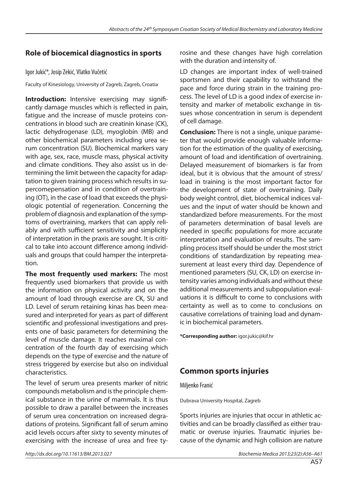### **Role of biocemical diagnostics in sports**

Igor Jukić\*, Josip Zekić, Vlatko Vučetić

Faculty of Kinesiology, University of Zagreb, Zagreb, Croatia

**Introduction:** Intensive exercising may significantly damage muscles which is reflected in pain, fatigue and the increase of muscle proteins concentrations in blood such are creatinin kinase (CK), lactic dehydrogenase (LD), myoglobin (MB) and other biochemical parameters including urea serum concentration (SU). Biochemical markers vary with age, sex, race, muscle mass, physical activity and climate conditions. They also assist us in determining the limit between the capacity for adaptation to given training process which results in supercomepensation and in condition of overtraining (OT), in the case of load that exceeds the physiologic potential of regeneration. Concerning the problem of diagnosis and explanation of the symptoms of overtraining, markers that can apply reliably and with sufficient sensitivity and simplicity of interpretation in the praxis are sought. It is critical to take into account difference among individuals and groups that could hamper the interpretation.

**The most frequently used markers:** The most frequently used biomarkers that provide us with the information on physical activity and on the amount of load through exercise are CK, SU and LD. Level of serum retaining kinas has been measured and interpreted for years as part of different scientific and professional investigations and presents one of basic parameters for determining the level of muscle damage. It reaches maximal concentration of the fourth day of exercising which depends on the type of exercise and the nature of stress triggered by exercise but also on individual characteristics.

The level of serum urea presents marker of nitric compounds metabolism and is the principle chemical substance in the urine of mammals. It is thus possible to draw a parallel between the increases of serum urea concentration on increased degradations of proteins. Significant fall of serum amino acid levels occurs after sixty to seventy minutes of exercising with the increase of urea and free tyrosine and these changes have high correlation with the duration and intensity of.

LD changes are important index of well-trained sportsmen and their capability to withstand the pace and force during strain in the training process. The level of LD is a good index of exercise intensity and marker of metabolic exchange in tissues whose concentration in serum is dependent of cell damage.

**Conclusion:** There is not a single, unique parameter that would provide enough valuable information for the estimation of the quality of exercising, amount of load and identification of overtraining. Delayed measurement of biomarkers is far from ideal, but it is obvious that the amount of stress/ load in training is the most important factor for the development of state of overtraining. Daily body weight control, diet, biochemical indices values and the input of water should be known and standardized before measurements. For the most of parameters determination of basal levels are needed in specific populations for more accurate interpretation and evaluation of results. The sampling process itself should be under the most strict conditions of standardization by repeating measurement at least every third day. Dependence of mentioned parameters (SU, CK, LD) on exercise intensity varies among individuals and without these additional measurements and subpopulation evaluations it is difficult to come to conclusions with certainty as well as to come to conclusions on causative correlations of training load and dynamic in biochemical parameters.

**\*Corresponding author:** igor.jukic@kif.hr

### **Common sports injuries**

Miljenko Franić

Dubrava University Hospital, Zagreb

Sports injuries are injuries that occur in athletic activities and can be broadly classified as either traumatic or overuse injuries. Traumatic injuries because of the dynamic and high collision are nature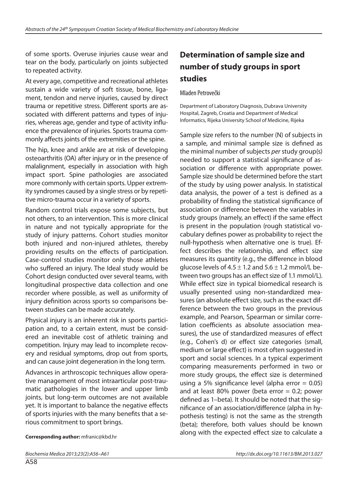of some sports. Overuse injuries cause wear and tear on the body, particularly on joints subjected to repeated activity.

At every age, competitive and recreational athletes sustain a wide variety of soft tissue, bone, ligament, tendon and nerve injuries, caused by direct trauma or repetitive stress. Different sports are associated with different patterns and types of injuries, whereas age, gender and type of activity influence the prevalence of injuries. Sports trauma commonly affects joints of the extremities or the spine.

The hip, knee and ankle are at risk of developing osteoarthritis (OA) after injury or in the presence of malalignment, especially in association with high impact sport. Spine pathologies are associated more commonly with certain sports. Upper extremity syndromes caused by a single stress or by repetitive micro-trauma occur in a variety of sports.

Random control trials expose some subjects, but not others, to an intervention. This is more clinical in nature and not typically appropriate for the study of injury patterns. Cohort studies monitor both injured and non-injured athletes, thereby providing results on the effects of participation. Case-control studies monitor only those athletes who suffered an injury. The Ideal study would be Cohort design conducted over several teams, with longitudinal prospective data collection and one recorder where possible, as well as uniformity of injury definition across sports so comparisons between studies can be made accurately.

Physical injury is an inherent risk in sports participation and, to a certain extent, must be considered an inevitable cost of athletic training and competition. Injury may lead to incomplete recovery and residual symptoms, drop out from sports, and can cause joint degeneration in the long term.

Advances in arthroscopic techniques allow operative management of most intraarticular post-traumatic pathologies in the lower and upper limb joints, but long-term outcomes are not available yet. It is important to balance the negative effects of sports injuries with the many benefits that a serious commitment to sport brings.

## **Determination of sample size and number of study groups in sport studies**

Mladen Petrovečki

Department of Laboratory Diagnosis, Dubrava University Hospital, Zagreb, Croatia and Department of Medical Informatics, Rijeka University School of Medicine, Rijeka

Sample size refers to the number (N) of subjects in a sample, and minimal sample size is defined as the minimal number of subjects per study group(s) needed to support a statistical significance of association or difference with appropriate power. Sample size should be determined before the start of the study by using power analysis. In statistical data analysis, the power of a test is defined as a probability of finding the statistical significance of association or difference between the variables in study groups (namely, an effect) if the same effect is present in the population (rough statistical vocabulary defines power as probability to reject the null-hypothesis when alternative one is true). Effect describes the relationship, and effect size measures its quantity (e.g., the difference in blood glucose levels of  $4.5 \pm 1.2$  and  $5.6 \pm 1.2$  mmol/L between two groups has an effect size of 1.1 mmol/L). While effect size in typical biomedical research is usually presented using non-standardized measures (an absolute effect size, such as the exact difference between the two groups in the previous example, and Pearson, Spearman or similar correlation coefficients as absolute association measures), the use of standardized measures of effect (e.g., Cohen's d) or effect size categories (small, medium or large effect) is most often suggested in sport and social sciences. In a typical experiment comparing measurements performed in two or more study groups, the effect size is determined using a 5% significance level (alpha error  $= 0.05$ ) and at least 80% power (beta error  $= 0.2$ ; power defined as 1–beta). It should be noted that the significance of an association/difference (alpha in hypothesis testing) is not the same as the strength (beta); therefore, both values should be known along with the expected effect size to calculate a

**Corresponding author:** mfranic@kbd.hr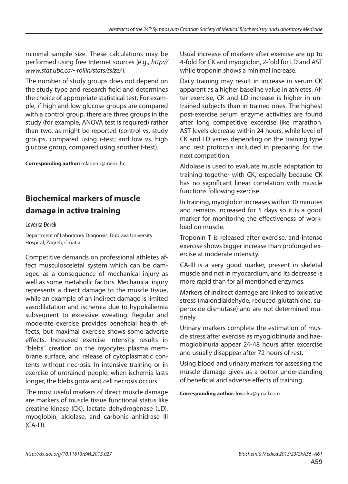minimal sample size. These calculations may be performed using free Internet sources (e.g., http:// www.stat.ubc.ca/~rollin/stats/ssize/).

The number of study groups does not depend on the study type and research field and determines the choice of appropriate statistical test. For example, if high and low glucose groups are compared with a control group, there are three groups in the study (for example, ANOVA test is required) rather than two, as might be reported (control vs. study groups, compared using t-test; and low vs. high glucose group, compared using another t-test).

**Corresponding author:** mladenp@medri.hr;

# **Biochemical markers of muscle damage in active training**

Lovorka Đerek

Department of Laboratory Diagnosis, Dubrava University Hospital, Zagreb, Croatia

Competitive demands on professional athletes affect musculosceletal system which can be damaged as a consequence of mechanical injury as well as some metabolic factors. Mechanical injury represents a direct damage to the muscle tissue, while an example of an indirect damage is limited vasodilatation and ischemia due to hypokaliemia subsequent to excessive sweating. Regular and moderate exercise provides beneficial health effects, but maximal exercise shows some adverse eff ects. Increased exercise intensity results in "blebs" creation on the myocytes plasma membrane surface, and release of cytoplasmatic contents without necrosis. In intensive training or in exercise of untrained people, when ischemia lasts longer, the blebs grow and cell necrosis occurs.

The most useful markers of direct muscle damage are markers of muscle tissue functional status like creatine kinase (CK), lactate dehydrogenase (LD), myoglobin, aldolase, and carbonic anhidrase III (CA-III).

Usual increase of markers after exercise are up to 4-fold for CK and myoglobin, 2-fold for LD and AST while troponin shows a minimal increase.

Daily training may result in increase in serum CK apparent as a higher baseline value in athletes. After exercise, CK and LD increase is higher in untrained subjects than in trained ones. The highest post-exercise serum enzyme activities are found after long competitive excercise like marathon. AST levels decrease within 24 hours, while level of CK and LD varies depending on the training type and rest protocols included in preparing for the next competition.

Aldolase is used to evaluate muscle adaptation to training together with CK, especially because CK has no significant linear correlation with muscle functions following exercise.

In training, myoglobin increases within 30 minutes and remains increased for 5 days so it is a good marker for monitoring the effectiveness of workload on muscle.

Troponin T is released after exercise, and intense exercise shows bigger increase than prolonged exercise at moderate intensity.

CA-III is a very good marker, present in skeletal muscle and not in myocardium, and its decrease is more rapid than for all mentioned enzymes.

Markers of indirect damage are linked to oxidative stress (malondialdehyde, reduced glutathione, superoxide dismutase) and are not determined routinely.

Urinary markers complete the estimation of muscle stress after exercise as myoglobinuria and haemoglobinuria appear 24-48 hours after excercise and usually disappear after 72 hours of rest.

Using blood and urinary markers for assessing the muscle damage gives us a better understanding of beneficial and adverse effects of training.

**Corresponding author:** lovorka@gmail.com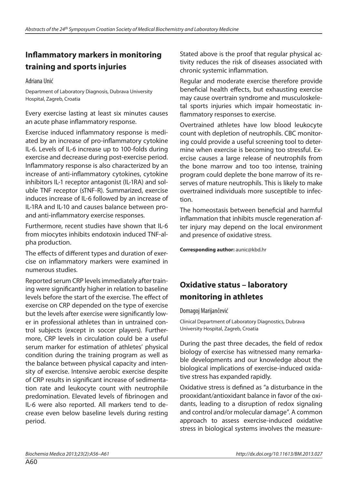## **Inflammatory markers in monitoring training and sports injuries**

Adriana Unić

Department of Laboratory Diagnosis, Dubrava University Hospital, Zagreb, Croatia

Every exercise lasting at least six minutes causes an acute phase inflammatory response.

Exercise induced inflammatory response is mediated by an increase of pro-inflammatory cytokine IL-6. Levels of IL-6 increase up to 100-folds during exercise and decrease during post-exercise period. Inflammatory response is also characterized by an increase of anti-inflammatory cytokines, cytokine inhibitors IL-1 receptor antagonist (IL-1RA) and soluble TNF receptor (sTNF-R). Summarized, exercise induces increase of IL-6 followed by an increase of IL-1RA and IL-10 and causes balance between proand anti-inflammatory exercise responses.

Furthermore, recent studies have shown that IL-6 from miocytes inhibits endotoxin induced TNF-alpha production.

The effects of different types and duration of exercise on inflammatory markers were examined in numerous studies.

Reported serum CRP levels immediately after training were significantly higher in relation to baseline levels before the start of the exercise. The effect of exercise on CRP depended on the type of exercise but the levels after exercise were significantly lower in professional athletes than in untrained control subjects (except in soccer players). Furthermore, CRP levels in circulation could be a useful serum marker for estimation of athletes' physical condition during the training program as well as the balance between physical capacity and intensity of exercise. Intensive aerobic exercise despite of CRP results in significant increase of sedimentation rate and leukocyte count with neutrophile predomination. Elevated levels of fibrinogen and IL-6 were also reported. All markers tend to decrease even below baseline levels during resting period.

Stated above is the proof that regular physical activity reduces the risk of diseases associated with chronic systemic inflammation.

Regular and moderate exercise therefore provide beneficial health effects, but exhausting exercise may cause overtrain syndrome and musculoskeletal sports injuries which impair homeostatic inflammatory responses to exercise.

Overtrained athletes have low blood leukocyte count with depletion of neutrophils. CBC monitoring could provide a useful screening tool to determine when exercise is becoming too stressful. Exercise causes a large release of neutrophils from the bone marrow and too too intense, training program could deplete the bone marrow of its reserves of mature neutrophils. This is likely to make overtrained individuals more susceptible to infection.

The homeostasis between beneficial and harmful inflammation that inhibits muscle regeneration after injury may depend on the local environment and presence of oxidative stress.

**Corresponding author:** aunic@kbd.hr

## **Oxidative status – laboratory monitoring in athletes**

#### Domagoj Marijančević

Clinical Department of Laboratory Diagnostics, Dubrava University Hospital, Zagreb, Croatia

During the past three decades, the field of redox biology of exercise has witnessed many remarkable developments and our knowledge about the biological implications of exercise-induced oxidative stress has expanded rapidly.

Oxidative stress is defined as "a disturbance in the prooxidant/antioxidant balance in favor of the oxidants, leading to a disruption of redox signaling and control and/or molecular damage". A common approach to assess exercise-induced oxidative stress in biological systems involves the measure